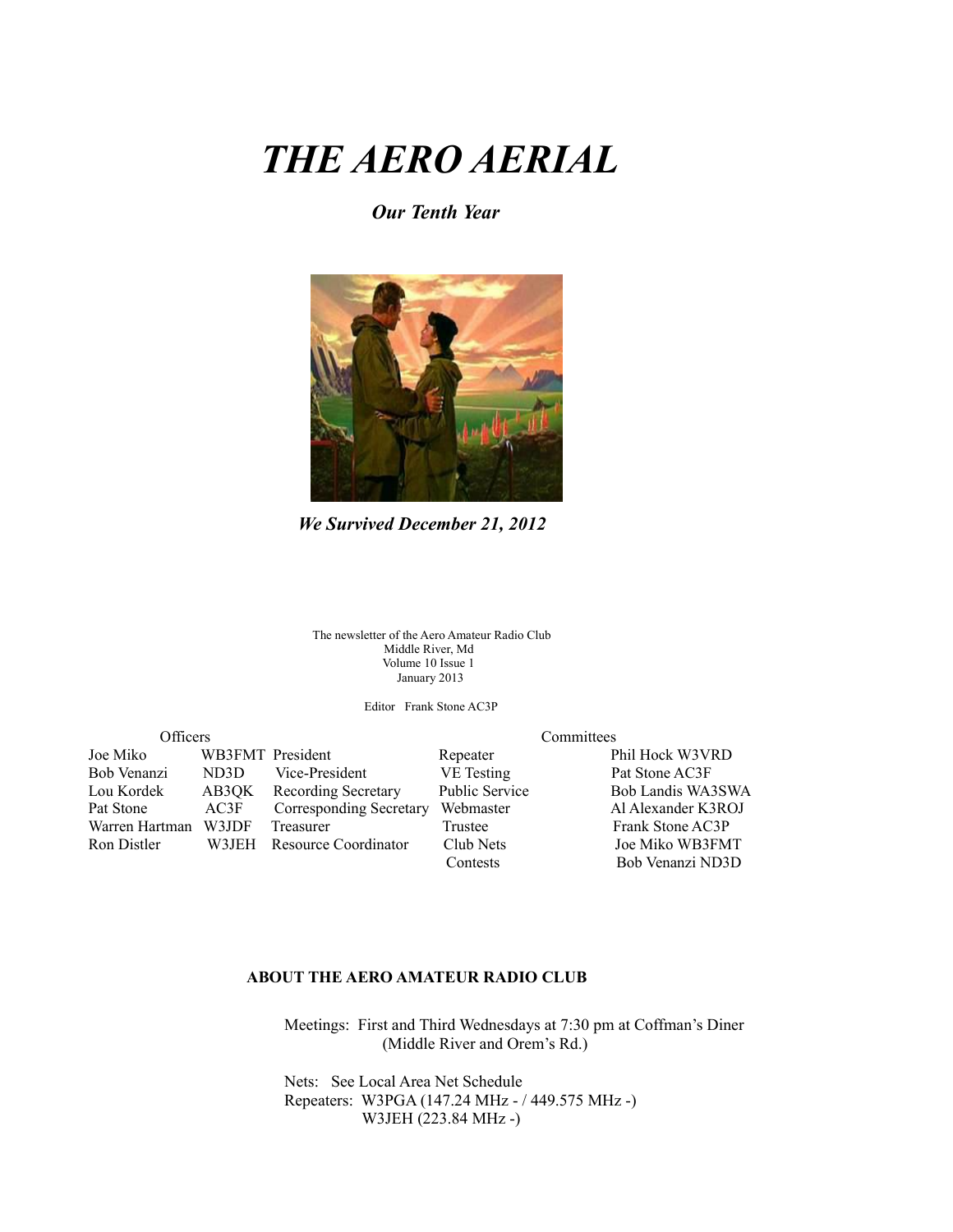# *THE AERO AERIAL*

#### *Our Tenth Year*



*We Survived December 21, 2012*

The newsletter of the Aero Amateur Radio Club Middle River, Md Volume 10 Issue 1 January 2013

Editor Frank Stone AC3P

| Officers       |                  | Committees              |                |                    |  |
|----------------|------------------|-------------------------|----------------|--------------------|--|
| Joe Miko       | WB3FMT President |                         | Repeater       | Phil Hock W3VRD    |  |
| Bob Venanzi    | ND3D             | Vice-President          | VE Testing     | Pat Stone AC3F     |  |
| Lou Kordek     | AB3OK            | Recording Secretary     | Public Service | Bob Landis WA3SWA  |  |
| Pat Stone      | AC3F             | Corresponding Secretary | Webmaster      | Al Alexander K3ROJ |  |
| Warren Hartman | W3JDF            | <b>Treasurer</b>        | Trustee        | Frank Stone AC3P   |  |
| Ron Distler    | W3JEH            | Resource Coordinator    | Club Nets      | Joe Miko WB3FMT    |  |
|                |                  |                         | Contests       | Bob Venanzi ND3D   |  |

#### **ABOUT THE AERO AMATEUR RADIO CLUB**

 Meetings: First and Third Wednesdays at 7:30 pm at Coffman's Diner (Middle River and Orem's Rd.)

 Nets: See Local Area Net Schedule Repeaters: W3PGA (147.24 MHz - / 449.575 MHz -) W3JEH (223.84 MHz -)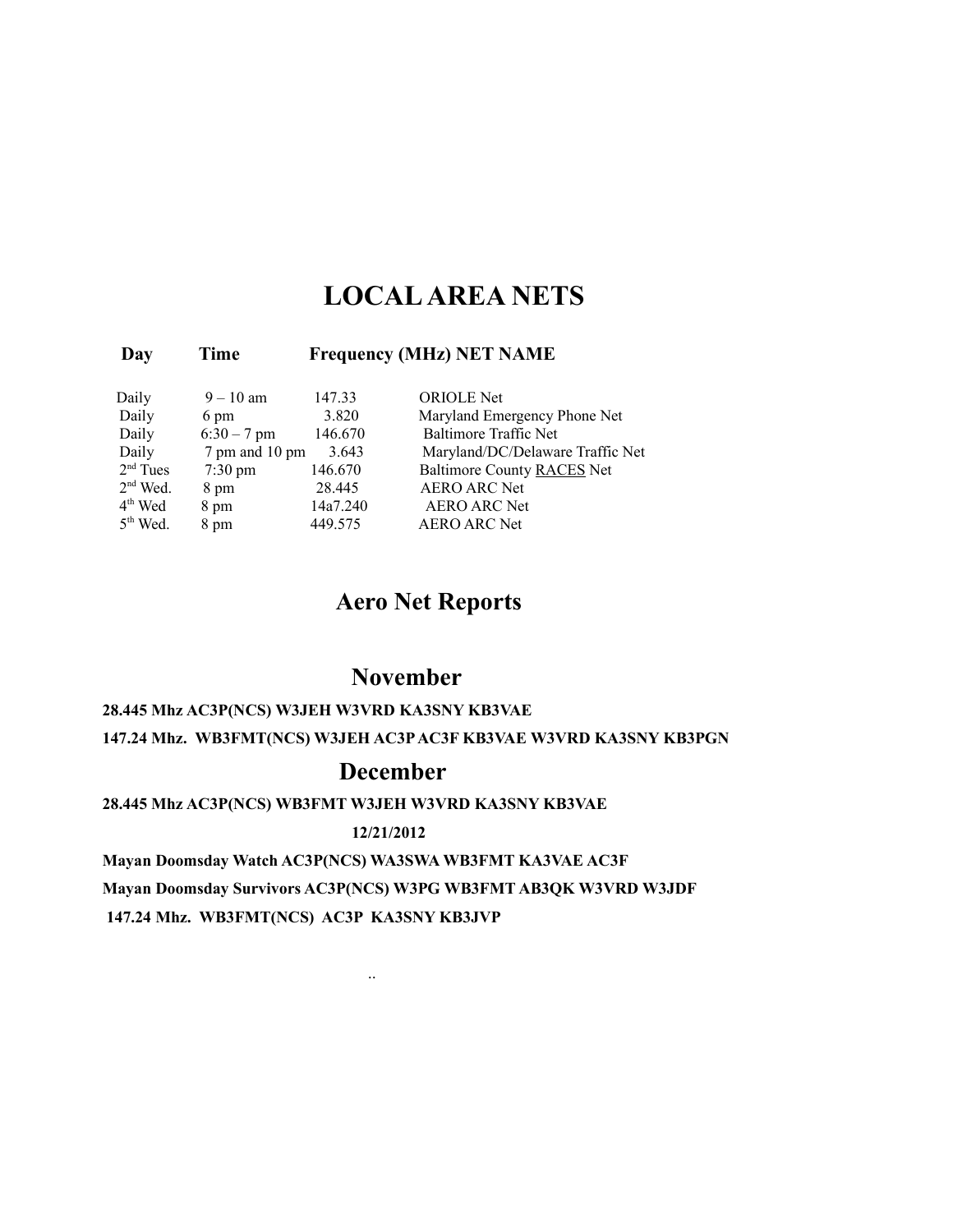### **LOCAL AREA NETS**

#### **Day Time Frequency (MHz) NET NAME**

| Daily      | $9 - 10$ am       | 147.33   | <b>ORIOLE</b> Net                |
|------------|-------------------|----------|----------------------------------|
| Daily      | 6 pm              | 3.820    | Maryland Emergency Phone Net     |
| Daily      | $6:30 - 7$ pm     | 146.670  | Baltimore Traffic Net            |
| Daily      | 7 pm and 10 pm    | 3.643    | Maryland/DC/Delaware Traffic Net |
| $2nd$ Tues | $7:30 \text{ pm}$ | 146.670  | Baltimore County RACES Net       |
| $2nd$ Wed. | 8 pm              | 28.445   | <b>AERO ARC Net</b>              |
| $4th$ Wed  | 8 pm              | 14a7.240 | <b>AERO ARC Net</b>              |
| $5th$ Wed. | 8 pm              | 449.575  | <b>AERO ARC Net</b>              |

### **Aero Net Reports**

### **November**

#### **28.445 Mhz AC3P(NCS) W3JEH W3VRD KA3SNY KB3VAE 147.24 Mhz. WB3FMT(NCS) W3JEH AC3P AC3F KB3VAE W3VRD KA3SNY KB3PGN**

### **December**

#### **28.445 Mhz AC3P(NCS) WB3FMT W3JEH W3VRD KA3SNY KB3VAE**

#### **12/21/2012**

**Mayan Doomsday Watch AC3P(NCS) WA3SWA WB3FMT KA3VAE AC3F**

**Mayan Doomsday Survivors AC3P(NCS) W3PG WB3FMT AB3QK W3VRD W3JDF**

 **147.24 Mhz. WB3FMT(NCS) AC3P KA3SNY KB3JVP**

..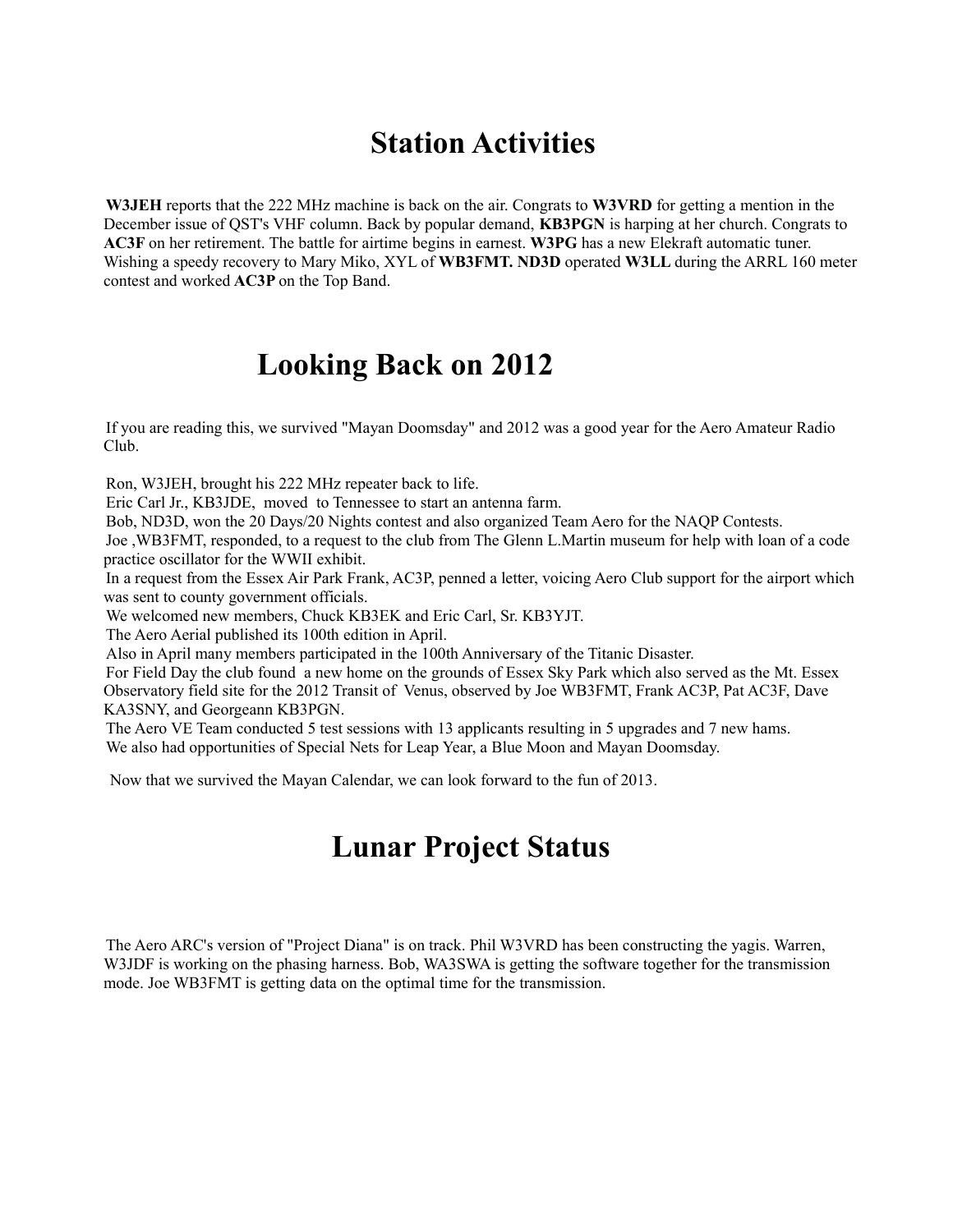## **Station Activities**

**W3JEH** reports that the 222 MHz machine is back on the air. Congrats to **W3VRD** for getting a mention in the December issue of QST's VHF column. Back by popular demand, **KB3PGN** is harping at her church. Congrats to **AC3F** on her retirement. The battle for airtime begins in earnest. **W3PG** has a new Elekraft automatic tuner. Wishing a speedy recovery to Mary Miko, XYL of **WB3FMT. ND3D** operated **W3LL** during the ARRL 160 meter contest and worked **AC3P** on the Top Band.

## **Looking Back on 2012**

If you are reading this, we survived "Mayan Doomsday" and 2012 was a good year for the Aero Amateur Radio Club.

Ron, W3JEH, brought his 222 MHz repeater back to life.

Eric Carl Jr., KB3JDE, moved to Tennessee to start an antenna farm.

Bob, ND3D, won the 20 Days/20 Nights contest and also organized Team Aero for the NAQP Contests.

Joe ,WB3FMT, responded, to a request to the club from The Glenn L.Martin museum for help with loan of a code practice oscillator for the WWII exhibit.

In a request from the Essex Air Park Frank, AC3P, penned a letter, voicing Aero Club support for the airport which was sent to county government officials.

We welcomed new members, Chuck KB3EK and Eric Carl, Sr. KB3YJT.

The Aero Aerial published its 100th edition in April.

Also in April many members participated in the 100th Anniversary of the Titanic Disaster.

For Field Day the club found a new home on the grounds of Essex Sky Park which also served as the Mt. Essex Observatory field site for the 2012 Transit of Venus, observed by Joe WB3FMT, Frank AC3P, Pat AC3F, Dave KA3SNY, and Georgeann KB3PGN.

The Aero VE Team conducted 5 test sessions with 13 applicants resulting in 5 upgrades and 7 new hams. We also had opportunities of Special Nets for Leap Year, a Blue Moon and Mayan Doomsday.

Now that we survived the Mayan Calendar, we can look forward to the fun of 2013.

## **Lunar Project Status**

The Aero ARC's version of "Project Diana" is on track. Phil W3VRD has been constructing the yagis. Warren, W3JDF is working on the phasing harness. Bob, WA3SWA is getting the software together for the transmission mode. Joe WB3FMT is getting data on the optimal time for the transmission.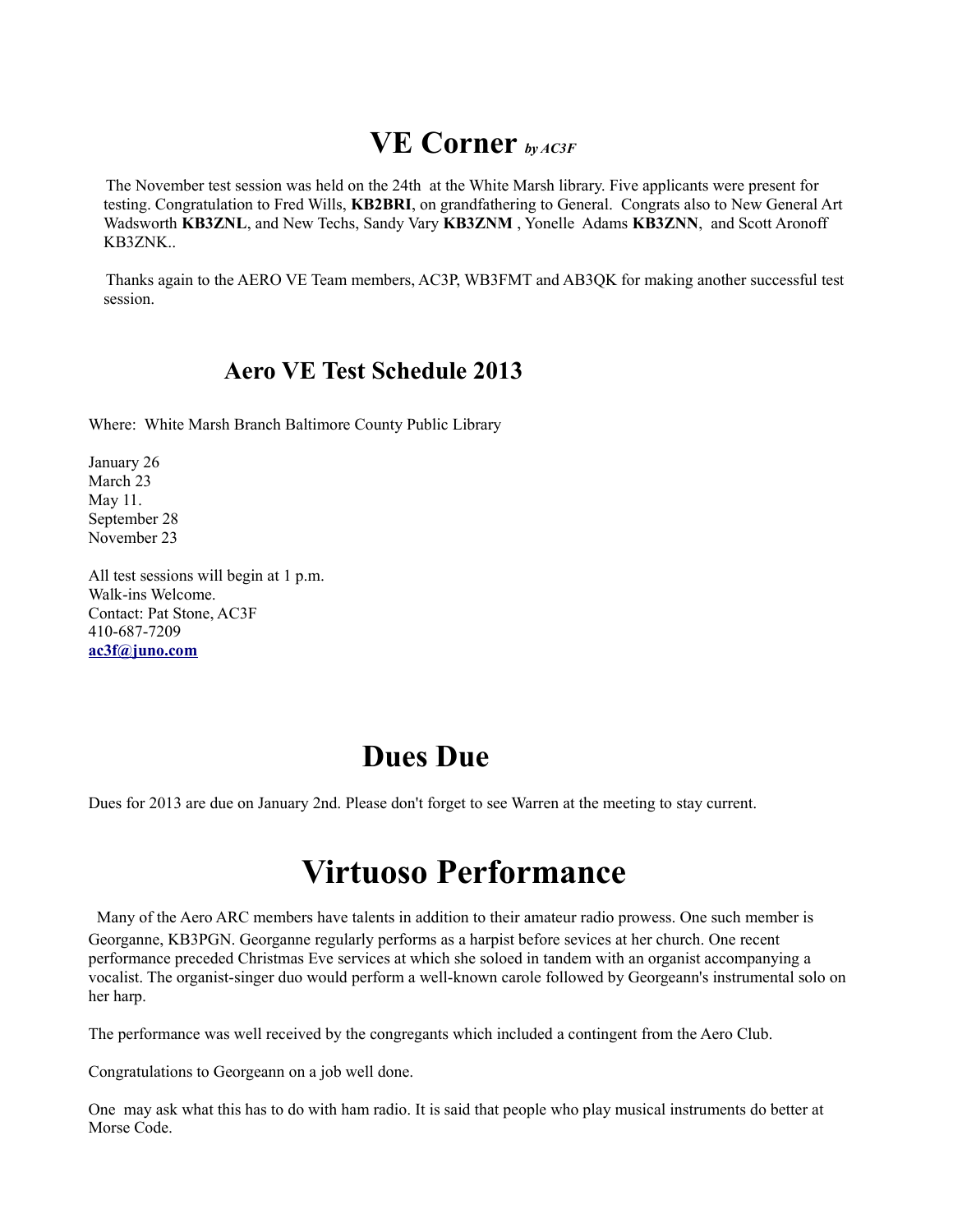### **VE Corner** *by AC3F*

The November test session was held on the 24th at the White Marsh library. Five applicants were present for testing. Congratulation to Fred Wills, **KB2BRI**, on grandfathering to General. Congrats also to New General Art Wadsworth **KB3ZNL**, and New Techs, Sandy Vary **KB3ZNM** , Yonelle Adams **KB3ZNN**, and Scott Aronoff KB3ZNK..

Thanks again to the AERO VE Team members, AC3P, WB3FMT and AB3QK for making another successful test session.

### **Aero VE Test Schedule 2013**

Where: White Marsh Branch Baltimore County Public Library

January 26 March 23 May 11. September 28 November 23

All test sessions will begin at 1 p.m. Walk-ins Welcome. Contact: Pat Stone, AC3F 410-687-7209 **[ac3f@juno.com](mailto:ac3f@juno.com)** 

## **Dues Due**

Dues for 2013 are due on January 2nd. Please don't forget to see Warren at the meeting to stay current.

## **Virtuoso Performance**

Many of the Aero ARC members have talents in addition to their amateur radio prowess. One such member is Georganne, KB3PGN. Georganne regularly performs as a harpist before sevices at her church. One recent performance preceded Christmas Eve services at which she soloed in tandem with an organist accompanying a vocalist. The organist-singer duo would perform a well-known carole followed by Georgeann's instrumental solo on her harp.

The performance was well received by the congregants which included a contingent from the Aero Club.

Congratulations to Georgeann on a job well done.

One may ask what this has to do with ham radio. It is said that people who play musical instruments do better at Morse Code.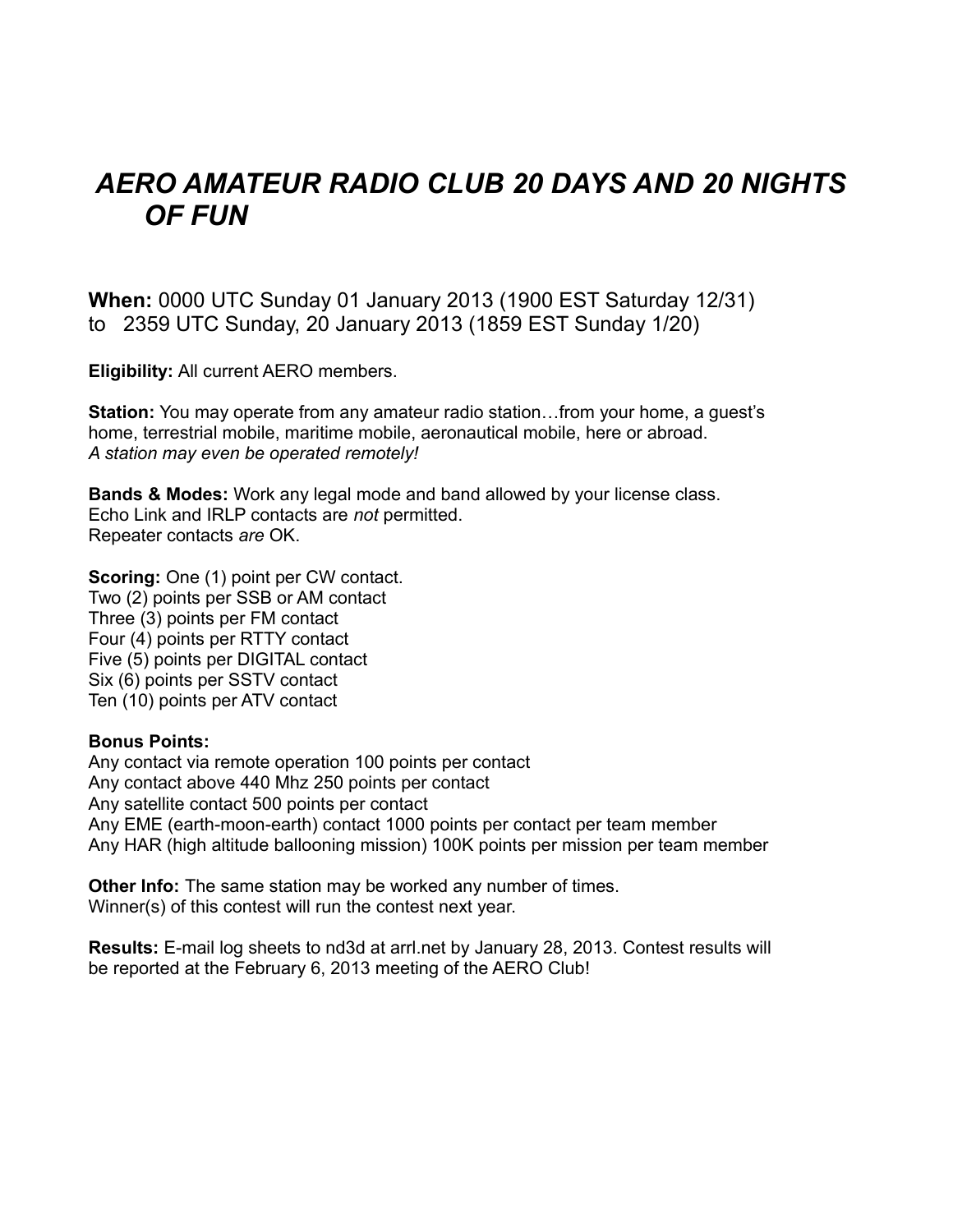## *AERO AMATEUR RADIO CLUB 20 DAYS AND 20 NIGHTS OF FUN*

**When:** 0000 UTC Sunday 01 January 2013 (1900 EST Saturday 12/31) to 2359 UTC Sunday, 20 January 2013 (1859 EST Sunday 1/20)

**Eligibility:** All current AERO members.

**Station:** You may operate from any amateur radio station…from your home, a guest's home, terrestrial mobile, maritime mobile, aeronautical mobile, here or abroad. *A station may even be operated remotely!*

**Bands & Modes:** Work any legal mode and band allowed by your license class. Echo Link and IRLP contacts are *not* permitted. Repeater contacts *are* OK.

**Scoring:** One (1) point per CW contact. Two (2) points per SSB or AM contact Three (3) points per FM contact Four (4) points per RTTY contact Five (5) points per DIGITAL contact Six (6) points per SSTV contact Ten (10) points per ATV contact

#### **Bonus Points:**

Any contact via remote operation 100 points per contact Any contact above 440 Mhz 250 points per contact Any satellite contact 500 points per contact Any EME (earth-moon-earth) contact 1000 points per contact per team member Any HAR (high altitude ballooning mission) 100K points per mission per team member

**Other Info:** The same station may be worked any number of times. Winner(s) of this contest will run the contest next year.

**Results:** E-mail log sheets to nd3d at arrl.net by January 28, 2013. Contest results will be reported at the February 6, 2013 meeting of the AERO Club!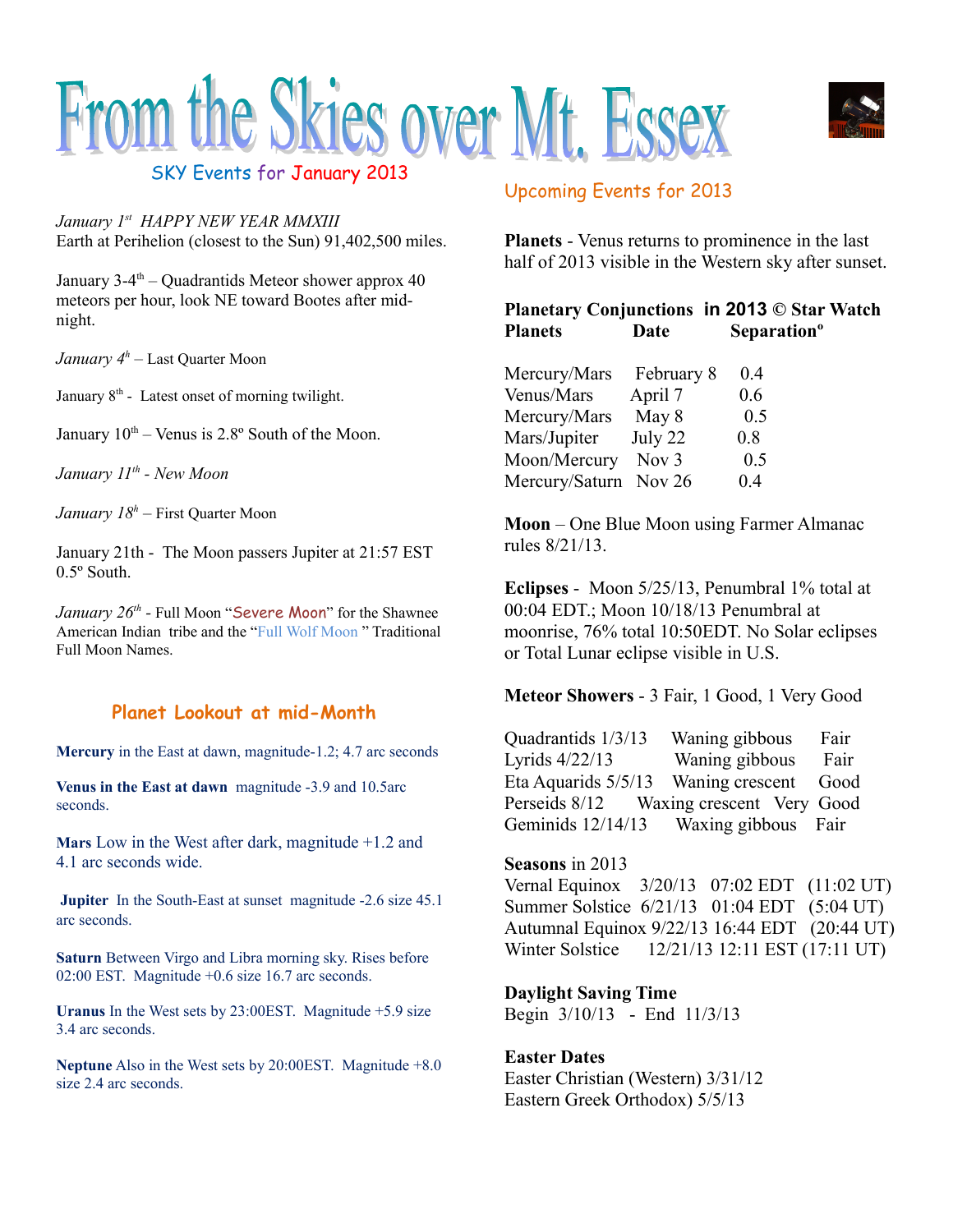



SKY Events for January 2013

*January 1st HAPPY NEW YEAR MMXIII* Earth at Perihelion (closest to the Sun) 91,402,500 miles.

January 3-4<sup>th</sup> – Quadrantids Meteor shower approx 40 meteors per hour, look NE toward Bootes after midnight.

*January 4<sup>h</sup>* – Last Quarter Moon

January  $8<sup>th</sup>$  - Latest onset of morning twilight.

January  $10^{th}$  – Venus is 2.8 $^{\circ}$  South of the Moon.

*January 11th - New Moon*

*January 18<sup>h</sup>* – First Quarter Moon

January 21th - The Moon passers Jupiter at 21:57 EST 0.5º South.

January 26<sup>th</sup> - Full Moon "Severe Moon" for the Shawnee American Indian tribe and the "Full Wolf Moon " Traditional Full Moon Names.

#### **Planet Lookout at mid-Month**

**Mercury** in the East at dawn, magnitude-1.2; 4.7 arc seconds

**Venus in the East at dawn** magnitude -3.9 and 10.5arc seconds.

**Mars** Low in the West after dark, magnitude +1.2 and 4.1 arc seconds wide.

**Jupiter** In the South-East at sunset magnitude -2.6 size 45.1 arc seconds.

**Saturn** Between Virgo and Libra morning sky. Rises before 02:00 EST. Magnitude +0.6 size 16.7 arc seconds.

**Uranus** In the West sets by 23:00EST. Magnitude +5.9 size 3.4 arc seconds.

**Neptune** Also in the West sets by 20:00EST. Magnitude +8.0 size 2.4 arc seconds.

### Upcoming Events for 2013

**Planets** - Venus returns to prominence in the last half of 2013 visible in the Western sky after sunset.

### **Planetary Conjunctions in 2013 © Star Watch Planets Date Separationº**

| Mercury/Mars   | February 8       | 0.4 |
|----------------|------------------|-----|
| Venus/Mars     | April 7          | 0.6 |
| Mercury/Mars   | May 8            | 0.5 |
| Mars/Jupiter   | July 22          | 0.8 |
| Moon/Mercury   | Nov <sub>3</sub> | 0.5 |
| Mercury/Saturn | Nov 26           | 0.4 |

**Moon** – One Blue Moon using Farmer Almanac rules 8/21/13.

**Eclipses** - Moon 5/25/13, Penumbral 1% total at 00:04 EDT.; Moon 10/18/13 Penumbral at moonrise, 76% total 10:50EDT. No Solar eclipses or Total Lunar eclipse visible in U.S.

**Meteor Showers** - 3 Fair, 1 Good, 1 Very Good

Quadrantids 1/3/13 Waning gibbous Fair Lyrids 4/22/13 Waning gibbous Fair Eta Aquarids 5/5/13 Waning crescent Good Perseids 8/12 Waxing crescent Very Good Geminids 12/14/13 Waxing gibbous Fair

#### **Seasons** in 2013

Vernal Equinox 3/20/13 07:02 EDT (11:02 UT) Summer Solstice 6/21/13 01:04 EDT (5:04 UT) Autumnal Equinox 9/22/13 16:44 EDT (20:44 UT) Winter Solstice 12/21/13 12:11 EST (17:11 UT)

**Daylight Saving Time** Begin 3/10/13 - End 11/3/13

**Easter Dates** Easter Christian (Western) 3/31/12 Eastern Greek Orthodox) 5/5/13